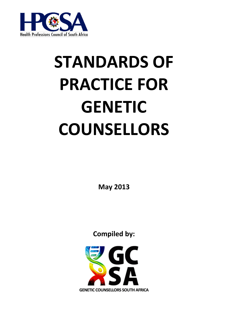

# **STANDARDS OF PRACTICE FOR GENETIC COUNSELLORS**

**May 2013**

**Compiled by:**

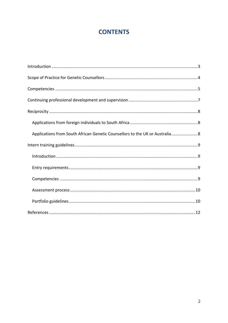# **CONTENTS**

| Applications from South African Genetic Counsellors to the UK or Australia 8 |
|------------------------------------------------------------------------------|
|                                                                              |
|                                                                              |
|                                                                              |
|                                                                              |
|                                                                              |
|                                                                              |
|                                                                              |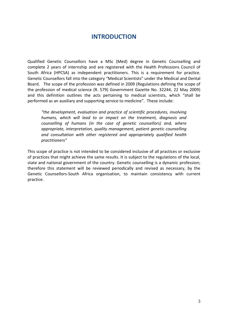## **INTRODUCTION**

<span id="page-2-0"></span>Qualified Genetic Counsellors have a MSc (Med) degree in Genetic Counselling and complete 2 years of internship and are registered with the Health Professions Council of South Africa (HPCSA) as independent practitioners. This is a requirement for practice. Genetic Counsellors fall into the category "Medical Scientists" under the Medical and Dental Board. The scope of the profession was defined in 2009 (Regulations defining the scope of the profession of medical science (R. 579) Government Gazette No. 32244, 22 May 2009) and this definition outlines the acts pertaining to medical scientists, which "shall be performed as an auxiliary and supporting service to medicine". These include:

*"the development, evaluation and practice of scientific procedures, involving humans, which will lead to or impact on the treatment, diagnosis and counselling of humans (in the case of genetic counsellors) and, where appropriate, interpretation, quality management, patient genetic counselling and consultation with other registered and appropriately qualified health practitioners"*

This scope of practice is not intended to be considered inclusive of all practices or exclusive of practices that might achieve the same results. It is subject to the regulations of the local, state and national government of the country. Genetic counselling is a dynamic profession; therefore this statement will be reviewed periodically and revised as necessary, by the Genetic Counsellors-South Africa organisation, to maintain consistency with current practice.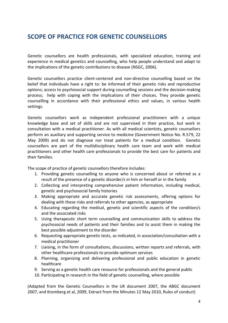## <span id="page-3-0"></span>**SCOPE OF PRACTICE FOR GENETIC COUNSELLORS**

Genetic counsellors are health professionals, with specialized education, training and experience in medical genetics and counselling, who help people understand and adapt to the implications of the genetic contributions to disease (NSGC, 2006).

Genetic counsellors practice client-centered and non-directive counselling based on the belief that individuals have a right to: be informed of their genetic risks and reproductive options; access to psychosocial support during counselling sessions and the decision-making process; help with coping with the implications of their choices. They provide genetic counselling in accordance with their professional ethics and values, in various health settings.

Genetic counsellors work as independent professional practitioners with a unique knowledge base and set of skills and are not supervised in their practice, but work in consultation with a medical practitioner. As with all medical scientists, genetic counsellors perform an auxiliary and supporting service to medicine (Government Notice No. R.579, 22 May 2009) and do not diagnose nor treat patients for a medical condition. Genetic counsellors are part of the multidisciplinary health care team and work with medical practitioners and other health care professionals to provide the best care for patients and their families.

The scope of practice of genetic counsellors therefore includes:

- 1. Providing genetic counselling to anyone who is concerned about or referred as a result of the presence of a genetic disorder/s in him or herself or in the family
- 2. Collecting and interpreting comprehensive patient information, including medical, genetic and psychosocial family histories
- 3. Making appropriate and accurate genetic risk assessments, offering options for dealing with these risks and referrals to other agencies, as appropriate
- 4. Educating regarding the medical, genetic and scientific aspects of the condition/s and the associated risks
- 5. Using therapeutic short term counselling and communication skills to address the psychosocial needs of patients and their families and to assist them in making the best possible adjustment to the disorder
- 6. Requesting appropriate genetic tests, as indicated, in association/consultation with a medical practitioner
- 7. Liaising, in the form of consultations, discussions, written reports and referrals, with other healthcare professionals to provide optimum services
- 8. Planning, organizing and delivering professional and public education in genetic healthcare
- 9. Serving as a genetic health care resource for professionals and the general public
- 10. Participating in research in the field of genetic counselling, where possible

(Adapted from the Genetic Counsellors in the UK document 2007, the ABGC document 2007, and Kromberg et al, 2009, Extract from the Minutes 12 May 2010, Rules of conduct)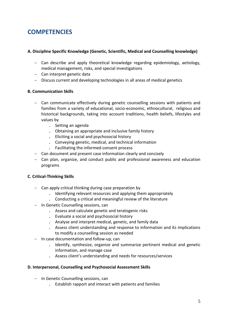# <span id="page-4-0"></span>**COMPETENCIES**

## **A. Discipline Specific Knowledge (Genetic, Scientific, Medical and Counselling knowledge)**

- Can describe and apply theoretical knowledge regarding epidemiology, aetiology, medical management, risks, and special investigations
- Can interpret genetic data
- Discuss current and developing technologies in all areas of medical genetics

## **B. Communication Skills**

- Can communicate effectively during genetic counselling sessions with patients and families from a variety of educational, socio-economic, ethnocultural, religious and historical backgrounds, taking into account traditions, health beliefs, lifestyles and values by
	- . Setting an agenda
	- . Obtaining an appropriate and inclusive family history
	- . Eliciting a social and psychosocial history
	- . Conveying genetic, medical, and technical information
	- . Facilitating the informed-consent process
- Can document and present case information clearly and concisely
- Can plan, organize, and conduct public and professional awareness and education programs

## **C. Critical-Thinking Skills**

- Can apply critical thinking during case preparation by
	- . Identifying relevant resources and applying them appropriately
	- . Conducting a critical and meaningful review of the literature
- In Genetic Counselling sessions, can
	- . Assess and calculate genetic and teratogenic risks
	- . Evaluate a social and psychosocial history
	- . Analyse and interpret medical, genetic, and family data
	- . Assess client understanding and response to information and its implications to modify a counselling session as needed
- $-$  In case documentation and follow-up, can
	- . Identify, synthesize, organize and summarize pertinent medical and genetic information, and manage case
	- . Assess client's understanding and needs for resources/services

## **D. Interpersonal, Counselling and Psychosocial Assessment Skills**

- In Genetic Counselling sessions, can
	- . Establish rapport and interact with patients and families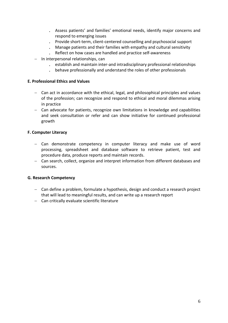- . Assess patients' and families' emotional needs, identify major concerns and respond to emerging issues
- . Provide short-term, client-centered counselling and psychosocial support
- . Manage patients and their families with empathy and cultural sensitivity
- . Reflect on how cases are handled and practice self-awareness
- $-$  In interpersonal relationships, can
	- . establish and maintain inter-and intradisciplinary professional relationships
	- . behave professionally and understand the roles of other professionals

## **E. Professional Ethics and Values**

- Can act in accordance with the ethical, legal, and philosophical principles and values of the profession; can recognize and respond to ethical and moral dilemmas arising in practice
- Can advocate for patients, recognize own limitations in knowledge and capabilities and seek consultation or refer and can show initiative for continued professional growth

## **F. Computer Literacy**

- Can demonstrate competency in computer literacy and make use of word processing, spreadsheet and database software to retrieve patient, test and procedure data, produce reports and maintain records.
- Can search, collect, organize and interpret information from different databases and sources.

## **G. Research Competency**

- Can define a problem, formulate a hypothesis, design and conduct a research project that will lead to meaningful results, and can write up a research report
- Can critically evaluate scientific literature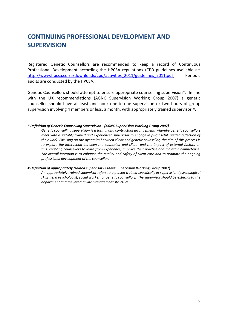# <span id="page-6-0"></span>**CONTINUING PROFESSIONAL DEVELOPMENT AND SUPERVISION**

Registered Genetic Counsellors are recommended to keep a record of Continuous Professional Development according the HPCSA regulations (CPD guidelines available at: [http://www.hpcsa.co.za/downloads/cpd/activities\\_2011/guidelines\\_2011.pdf\)](http://www.hpcsa.co.za/downloads/cpd/activities_2011/guidelines_2011.pdf). Periodic audits are conducted by the HPCSA.

Genetic Counsellors should attempt to ensure appropriate counselling supervision\*. In line with the UK recommendations (AGNC Supervision Working Group 2007) a genetic counsellor should have at least one hour one-to-one supervision or two hours of group supervision involving 4 members or less, a month, with appropriately trained supervisor #.

#### *\* Definition of Genetic Counselling Supervision - (AGNC Supervision Working Group 2007)*

*Genetic counselling supervision is a formal and contractual arrangement, whereby genetic counsellors meet with a suitably trained and experienced supervisor to engage in purposeful, guided reflection of their work. Focusing on the dynamics between client and genetic counsellor, the aim of this process is to explore the interaction between the counsellor and client, and the impact of external factors on this, enabling counsellors to learn from experience, improve their practice and maintain competence. The overall intention is to enhance the quality and safety of client care and to promote the ongoing professional development of the counsellor.*

#### *# Definition of appropriately trained supervisor -* **(AGNC Supervision Working Group 2007)**

*An appropriately trained supervisor refers to a person trained specifically in supervision (psychological skills i.e. a psychologist, social worker, or genetic counsellor). The supervisor should be external to the department and the internal line management structure.*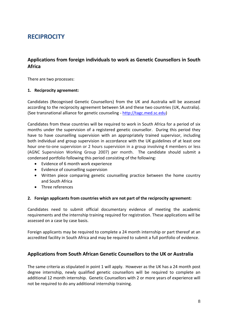## <span id="page-7-1"></span><span id="page-7-0"></span>**RECIPROCITY**

## **Applications from foreign individuals to work as Genetic Counsellors in South Africa**

There are two processes:

## **1. Reciprocity agreement:**

Candidates (Recognised Genetic Counsellors) from the UK and Australia will be assessed according to the reciprocity agreement between SA and these two countries (UK, Australia). (See transnational alliance for genetic counseling - [http://tagc.med.sc.edu\)](http://tagc.med.sc.edu/)

Candidates from these countries will be required to work in South Africa for a period of six months under the supervision of a registered genetic counsellor. During this period they have to have counselling supervision with an appropriately trained supervisor, including both individual and group supervision in accordance with the UK guidelines of at least one hour one-to-one supervision or 2 hours supervision in a group involving 4 members or less (AGNC Supervision Working Group 2007) per month. The candidate should submit a condensed portfolio following this period consisting of the following:

- Evidence of 6 month work experience
- Evidence of counselling supervision
- Written piece comparing genetic counselling practice between the home country and South Africa
- Three references

#### **2. Foreign applicants from countries which are not part of the reciprocity agreement:**

Candidates need to submit official documentary evidence of meeting the academic requirements and the internship training required for registration. These applications will be assessed on a case by case basis.

Foreign applicants may be required to complete a 24 month internship or part thereof at an accredited facility in South Africa and may be required to submit a full portfolio of evidence.

## <span id="page-7-2"></span>**Applications from South African Genetic Counsellors to the UK or Australia**

The same criteria as stipulated in point 1 will apply. However as the UK has a 24 month post degree internship, newly qualified genetic counsellors will be required to complete an additional 12 month internship. Genetic Counsellors with 2 or more years of experience will not be required to do any additional internship training.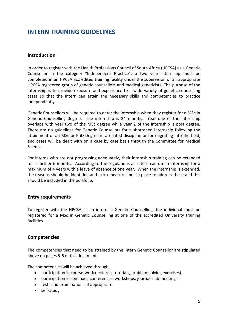## <span id="page-8-1"></span><span id="page-8-0"></span>**INTERN TRAINING GUIDELINES**

## **Introduction**

In order to register with the Health Professions Council of South Africa (HPCSA) as a Genetic Counsellor in the category "Independent Practice", a two year internship must be completed in an HPCSA accredited training facility under the supervision of an appropriate HPCSA registered group of genetic counsellors and medical geneticists. The purpose of the internship is to provide exposure and experience to a wide variety of genetic counselling cases so that the intern can attain the necessary skills and competencies to practice independently.

Genetic Counsellors will be required to enter the internship when they register for a MSc in Genetic Counselling degree. The internship is 24 months. Year one of the internship overlaps with year two of the MSc degree while year 2 of the internship is post degree. There are no guidelines for Genetic Counsellors for a shortened internship following the attainment of an MSc or PhD Degree in a related discipline or for migrating into the field, and cases will be dealt with on a case by case basis through the Committee for Medical Science.

For interns who are not progressing adequately, their internship training can be extended for a further 6 months. According to the regulations an intern can do an internship for a maximum of 4 years with a leave of absence of one year. When the internship is extended, the reasons should be identified and extra measures put in place to address these and this should be included in the portfolio.

## <span id="page-8-2"></span>**Entry requirements**

To register with the HPCSA as an intern in Genetic Counselling, the individual must be registered for a MSc in Genetic Counselling at one of the accredited University training facilities.

## <span id="page-8-3"></span>**Competencies**

The competencies that need to be attained by the Intern Genetic Counsellor are stipulated above on pages 5-6 of this document.

The competencies will be achieved through:

- participation in course-work (lectures, tutorials, problem-solving exercises)
- participation in seminars, conferences, workshops, journal club meetings
- tests and examinations, if appropriate
- self-study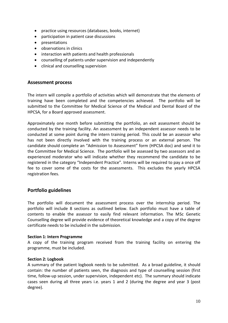- practice using resources (databases, books, internet)
- participation in patient case discussions
- presentations
- observations in clinics
- interaction with patients and health professionals
- counselling of patients under supervision and independently
- clinical and counselling supervision

## <span id="page-9-0"></span>**Assessment process**

The intern will compile a portfolio of activities which will demonstrate that the elements of training have been completed and the competencies achieved. The portfolio will be submitted to the Committee for Medical Science of the Medical and Dental Board of the HPCSA, for a Board approved assessment.

Approximately one month before submitting the portfolio, an exit assessment should be conducted by the training facility. An assessment by an independent assessor needs to be conducted at some point during the intern training period. This could be an assessor who has not been directly involved with the training process or an external person. The candidate should complete an "Admission to Assessment" form (HPCSA doc) and send it to the Committee for Medical Science. The portfolio will be assessed by two assessors and an experienced moderator who will indicate whether they recommend the candidate to be registered in the category "Independent Practice". Interns will be required to pay a once off fee to cover some of the costs for the assessments. This excludes the yearly HPCSA registration fees.

## <span id="page-9-1"></span>**Portfolio guidelines**

The portfolio will document the assessment process over the internship period. The portfolio will include 8 sections as outlined below. Each portfolio must have a table of contents to enable the assessor to easily find relevant information. The MSc Genetic Counselling degree will provide evidence of theoretical knowledge and a copy of the degree certificate needs to be included in the submission.

#### **Section 1: Intern Programme**

A copy of the training program received from the training facility on entering the programme, must be included.

#### **Section 2: Logbook**

A summary of the patient logbook needs to be submitted. As a broad guideline, it should contain: the number of patients seen, the diagnosis and type of counselling session (first time, follow-up session, under supervision, independent etc). The summary should indicate cases seen during all three years i.e. years 1 and 2 (during the degree and year 3 (post degree).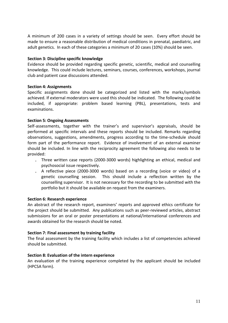A minimum of 200 cases in a variety of settings should be seen. Every effort should be made to ensure a reasonable distribution of medical conditions in prenatal, paediatric, and adult genetics. In each of these categories a minimum of 20 cases (10%) should be seen.

## **Section 3: Discipline specific knowledge**

Evidence should be provided regarding specific genetic, scientific, medical and counselling knowledge. This could include lectures, seminars, courses, conferences, workshops, journal club and patient case discussions attended.

## **Section 4: Assignments**

Specific assignments done should be categorized and listed with the marks/symbols achieved. If external moderators were used this should be indicated. The following could be included, if appropriate: problem based learning (PBL), presentations, tests and examinations.

## **Section 5: Ongoing Assessments**

Self-assessments, together with the trainer's and supervisor's appraisals, should be performed at specific intervals and these reports should be included. Remarks regarding observations, suggestions, amendments, progress according to the time-schedule should form part of the performance report. Evidence of involvement of an external examiner should be included. In line with the reciprocity agreement the following also needs to be provided:

- . Three written case reports (2000-3000 words) highlighting an ethical, medical and psychosocial issue respectively.
- . A reflective piece (2000-3000 words) based on a recording (voice or video) of a genetic counselling session. This should include a reflection written by the counselling supervisor. It is not necessary for the recording to be submitted with the portfolio but it should be available on request from the examiners.

#### **Section 6: Research experience**

An abstract of the research report, examiners' reports and approved ethics certificate for the project should be submitted. Any publications such as peer-reviewed articles, abstract submissions for an oral or poster presentations at national/international conferences and awards obtained for the research should be noted.

## **Section 7: Final assessment by training facility**

The final assessment by the training facility which includes a list of competencies achieved should be submitted.

#### **Section 8: Evaluation of the intern experience**

<span id="page-10-0"></span>An evaluation of the training experience completed by the applicant should be included (HPCSA form).